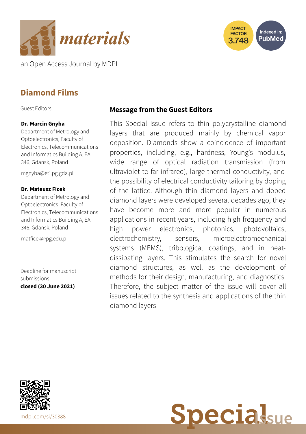



an Open Access Journal by MDPI

# **Diamond Films**

Guest Editors:

### **Dr. Marcin Gnyba**

Department of Metrology and Optoelectronics, Faculty of Electronics, Telecommunications and Informatics Building A, EA 346, Gdansk, Poland

[mgnyba@eti.pg.gda.pl](mailto:mgnyba@eti.pg.gda.pl)

### **Dr. Mateusz Ficek**

Department of Metrology and Optoelectronics, Faculty of Electronics, Telecommunications and Informatics Building A, EA 346, Gdansk, Poland

[matficek@pg.edu.pl](mailto:matficek@pg.edu.pl)

Deadline for manuscript submissions: **closed (30 June 2021)**

### **Message from the Guest Editors**

This Special Issue refers to thin polycrystalline diamond layers that are produced mainly by chemical vapor deposition. Diamonds show a coincidence of important properties, including, e.g., hardness, Young's modulus, wide range of optical radiation transmission (from ultraviolet to far infrared), large thermal conductivity, and the possibility of electrical conductivity tailoring by doping of the lattice. Although thin diamond layers and doped diamond layers were developed several decades ago, they have become more and more popular in numerous applications in recent years, including high frequency and high power electronics, photonics, photovoltaics, electrochemistry, sensors, microelectromechanical systems (MEMS), tribological coatings, and in heatdissipating layers. This stimulates the search for novel diamond structures, as well as the development of methods for their design, manufacturing, and diagnostics. Therefore, the subject matter of the issue will cover all issues related to the synthesis and applications of the thin diamond layers